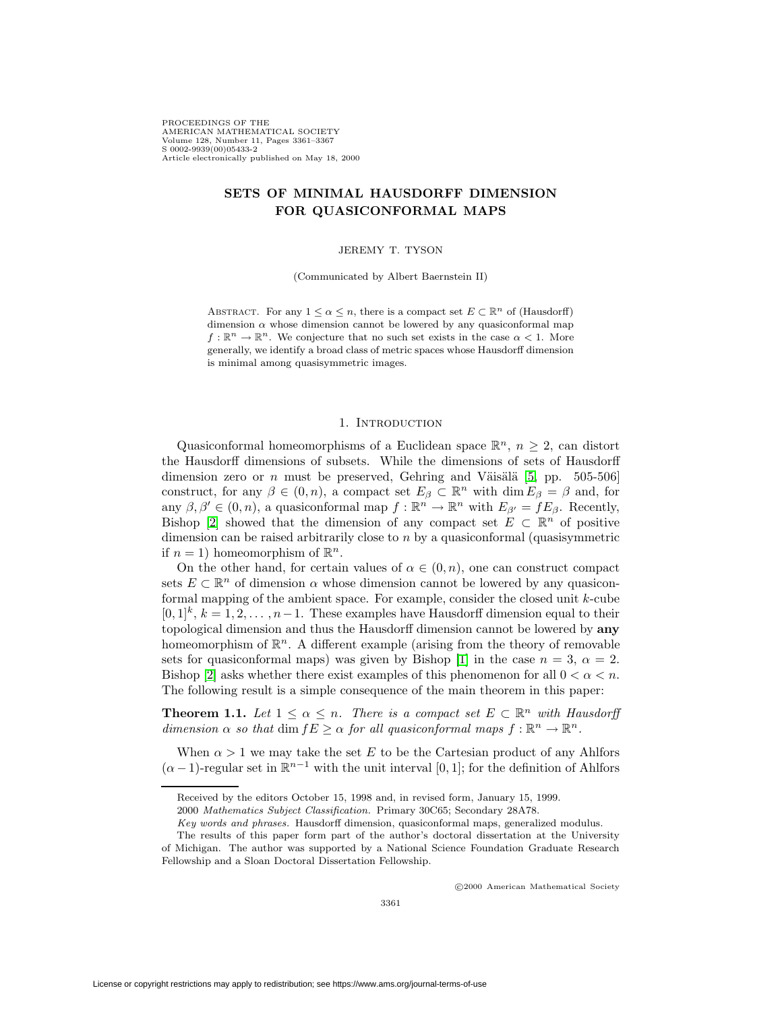PROCEEDINGS OF THE AMERICAN MATHEMATICAL SOCIETY Volume 128, Number 11, Pages 3361–3367 S 0002-9939(00)05433-2 Article electronically published on May 18, 2000

# **SETS OF MINIMAL HAUSDORFF DIMENSION FOR QUASICONFORMAL MAPS**

#### JEREMY T. TYSON

(Communicated by Albert Baernstein II)

ABSTRACT. For any  $1 \leq \alpha \leq n$ , there is a compact set  $E \subset \mathbb{R}^n$  of (Hausdorff) dimension  $\alpha$  whose dimension cannot be lowered by any quasiconformal map  $f: \mathbb{R}^n \to \mathbb{R}^n$ . We conjecture that no such set exists in the case  $\alpha < 1$ . More generally, we identify a broad class of metric spaces whose Hausdorff dimension is minimal among quasisymmetric images.

#### 1. INTRODUCTION

Quasiconformal homeomorphisms of a Euclidean space  $\mathbb{R}^n$ ,  $n \geq 2$ , can distort the Hausdorff dimensions of subsets. While the dimensions of sets of Hausdorff dimension zero or *n* must be preserved, Gehring and Väisälä [\[5,](#page-6-0) pp. 505-506] construct, for any  $\beta \in (0, n)$ , a compact set  $E_{\beta} \subset \mathbb{R}^n$  with  $\dim E_{\beta} = \beta$  and, for any  $\beta, \beta' \in (0, n)$ , a quasiconformal map  $f : \mathbb{R}^n \to \mathbb{R}^n$  with  $E_{\beta'} = fE_{\beta}$ . Recently, Bishop [\[2\]](#page-6-1) showed that the dimension of any compact set  $E \subset \mathbb{R}^n$  of positive dimension can be raised arbitrarily close to  $n$  by a quasiconformal (quasisymmetric if  $n = 1$ ) homeomorphism of  $\mathbb{R}^n$ .

On the other hand, for certain values of  $\alpha \in (0, n)$ , one can construct compact sets  $E \subset \mathbb{R}^n$  of dimension  $\alpha$  whose dimension cannot be lowered by any quasiconformal mapping of the ambient space. For example, consider the closed unit k-cube  $[0,1]^k$ ,  $k = 1, 2, \ldots, n-1$ . These examples have Hausdorff dimension equal to their topological dimension and thus the Hausdorff dimension cannot be lowered by **any** homeomorphism of  $\mathbb{R}^n$ . A different example (arising from the theory of removable sets for quasiconformal maps) was given by Bishop [\[1\]](#page-6-2) in the case  $n = 3$ ,  $\alpha = 2$ . Bishop [\[2\]](#page-6-1) asks whether there exist examples of this phenomenon for all  $0 < \alpha < n$ . The following result is a simple consequence of the main theorem in this paper:

<span id="page-0-0"></span>**Theorem 1.1.** Let  $1 \leq \alpha \leq n$ . There is a compact set  $E \subset \mathbb{R}^n$  with Hausdorff dimension  $\alpha$  so that dim  $fE \geq \alpha$  for all quasiconformal maps  $f : \mathbb{R}^n \to \mathbb{R}^n$ .

When  $\alpha > 1$  we may take the set E to be the Cartesian product of any Ahlfors  $(\alpha - 1)$ -regular set in  $\mathbb{R}^{n-1}$  with the unit interval [0, 1]; for the definition of Ahlfors

c 2000 American Mathematical Society

Received by the editors October 15, 1998 and, in revised form, January 15, 1999.

<sup>2000</sup> Mathematics Subject Classification. Primary 30C65; Secondary 28A78.

Key words and phrases. Hausdorff dimension, quasiconformal maps, generalized modulus.

The results of this paper form part of the author's doctoral dissertation at the University of Michigan. The author was supported by a National Science Foundation Graduate Research Fellowship and a Sloan Doctoral Dissertation Fellowship.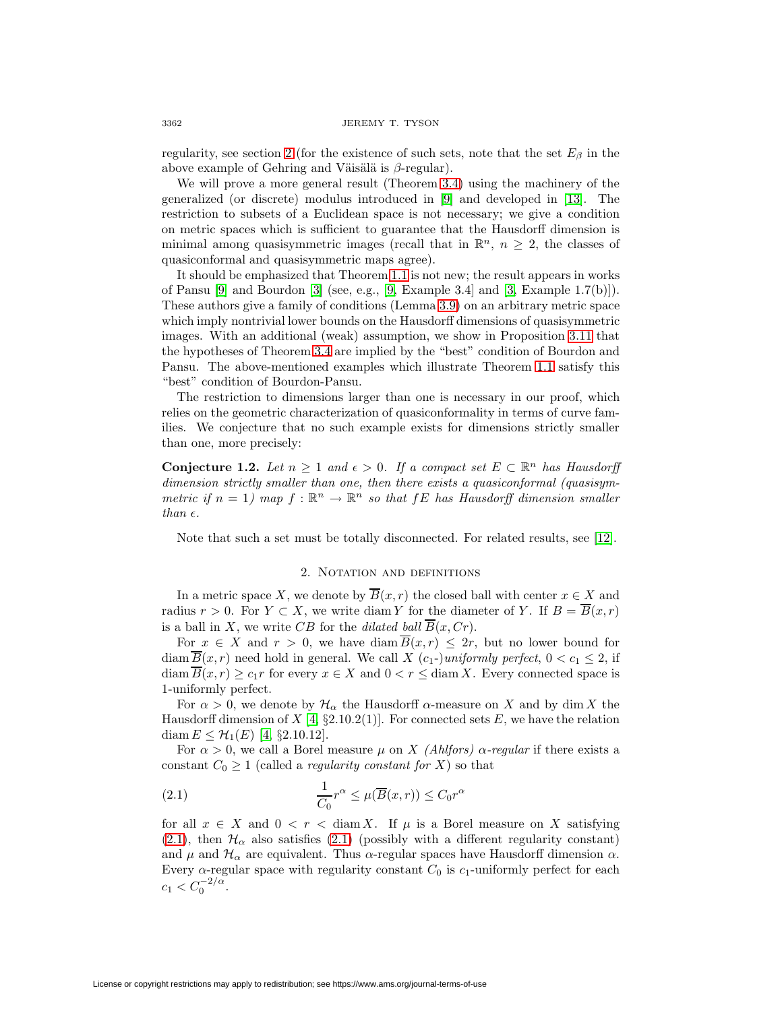regularity, see section [2](#page-1-0) (for the existence of such sets, note that the set  $E_\beta$  in the above example of Gehring and Väisälä is  $\beta$ -regular).

We will prove a more general result (Theorem [3.4\)](#page-2-0) using the machinery of the generalized (or discrete) modulus introduced in [\[9\]](#page-6-3) and developed in [\[13\]](#page-6-4). The restriction to subsets of a Euclidean space is not necessary; we give a condition on metric spaces which is sufficient to guarantee that the Hausdorff dimension is minimal among quasisymmetric images (recall that in  $\mathbb{R}^n$ ,  $n \geq 2$ , the classes of quasiconformal and quasisymmetric maps agree).

It should be emphasized that Theorem [1.1](#page-0-0) is not new; the result appears in works of Pansu [\[9\]](#page-6-3) and Bourdon [\[3\]](#page-6-5) (see, e.g., [\[9,](#page-6-3) Example 3.4] and [\[3,](#page-6-5) Example 1.7(b)]). These authors give a family of conditions (Lemma [3.9\)](#page-4-0) on an arbitrary metric space which imply nontrivial lower bounds on the Hausdorff dimensions of quasisymmetric images. With an additional (weak) assumption, we show in Proposition [3.11](#page-4-1) that the hypotheses of Theorem [3.4](#page-2-0) are implied by the "best" condition of Bourdon and Pansu. The above-mentioned examples which illustrate Theorem [1.1](#page-0-0) satisfy this "best" condition of Bourdon-Pansu.

The restriction to dimensions larger than one is necessary in our proof, which relies on the geometric characterization of quasiconformality in terms of curve families. We conjecture that no such example exists for dimensions strictly smaller than one, more precisely:

**Conjecture 1.2.** Let  $n \geq 1$  and  $\epsilon > 0$ . If a compact set  $E \subset \mathbb{R}^n$  has Hausdorff dimension strictly smaller than one, then there exists a quasiconformal (quasisymmetric if  $n = 1$ ) map  $f : \mathbb{R}^n \to \mathbb{R}^n$  so that  $fE$  has Hausdorff dimension smaller than  $\epsilon$ .

Note that such a set must be totally disconnected. For related results, see [\[12\]](#page-6-6).

### 2. Notation and definitions

<span id="page-1-0"></span>In a metric space X, we denote by  $\overline{B}(x, r)$  the closed ball with center  $x \in X$  and radius  $r > 0$ . For  $Y \subset X$ , we write diam Y for the diameter of Y. If  $B = \overline{B}(x,r)$ is a ball in X, we write CB for the dilated ball  $\overline{B}(x, Cr)$ .

For  $x \in X$  and  $r > 0$ , we have diam  $\overline{B}(x,r) \leq 2r$ , but no lower bound for diam  $\overline{B}(x, r)$  need hold in general. We call X  $(c_1$ -)uniformly perfect,  $0 < c_1 \leq 2$ , if diam  $\overline{B}(x,r) \geq c_1r$  for every  $x \in X$  and  $0 < r \leq \text{diam } X$ . Every connected space is 1-uniformly perfect.

For  $\alpha > 0$ , we denote by  $\mathcal{H}_{\alpha}$  the Hausdorff  $\alpha$ -measure on X and by dim X the Hausdorff dimension of X [\[4,](#page-6-7) §2.10.2(1)]. For connected sets E, we have the relation diam  $E \leq \mathcal{H}_1(E)$  [\[4,](#page-6-7) §2.10.12].

For  $\alpha > 0$ , we call a Borel measure  $\mu$  on X (Ahlfors)  $\alpha$ -regular if there exists a constant  $C_0 \geq 1$  (called a *regularity constant for* X) so that

<span id="page-1-1"></span>(2.1) 
$$
\frac{1}{C_0}r^{\alpha} \leq \mu(\overline{B}(x,r)) \leq C_0r^{\alpha}
$$

for all  $x \in X$  and  $0 < r < \text{diam } X$ . If  $\mu$  is a Borel measure on X satisfying [\(2.1\)](#page-1-1), then  $\mathcal{H}_{\alpha}$  also satisfies (2.1) (possibly with a different regularity constant) and  $\mu$  and  $\mathcal{H}_{\alpha}$  are equivalent. Thus  $\alpha$ -regular spaces have Hausdorff dimension  $\alpha$ . Every  $\alpha$ -regular space with regularity constant  $C_0$  is  $c_1$ -uniformly perfect for each  $c_1 < C_0^{-2/\alpha}$ .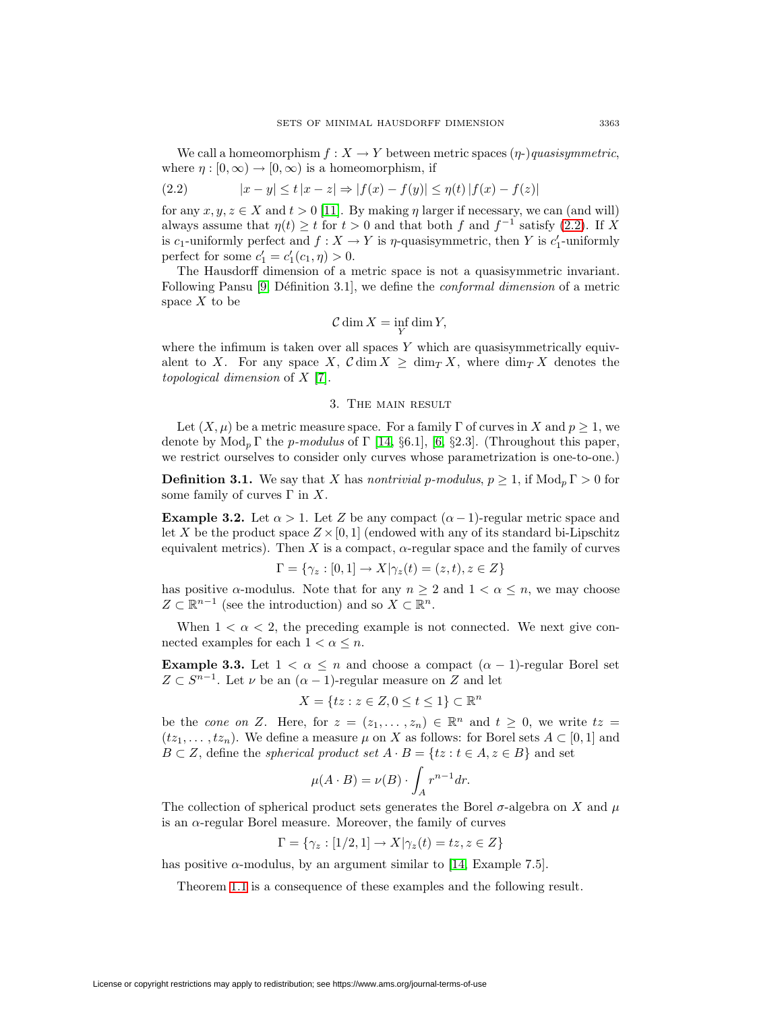<span id="page-2-1"></span>We call a homeomorphism  $f : X \to Y$  between metric spaces  $(\eta)$ -)quasisymmetric, where  $\eta : [0, \infty) \to [0, \infty)$  is a homeomorphism, if

(2.2) 
$$
|x - y| \le t |x - z| \Rightarrow |f(x) - f(y)| \le \eta(t) |f(x) - f(z)|
$$

for any  $x, y, z \in X$  and  $t > 0$  [\[11\]](#page-6-8). By making  $\eta$  larger if necessary, we can (and will) always assume that  $\eta(t) \geq t$  for  $t > 0$  and that both f and  $f^{-1}$  satisfy [\(2.2\)](#page-2-1). If X is c<sub>1</sub>-uniformly perfect and  $f: X \to Y$  is  $\eta$ -quasisymmetric, then Y is c<sub>1</sub>-uniformly perfect for some  $c'_1 = c'_1(c_1, \eta) > 0$ .

The Hausdorff dimension of a metric space is not a quasisymmetric invariant. Following Pansu  $[9, D\acute{e}$  $[9, D\acute{e}$ finition 3.1, we define the *conformal dimension* of a metric space  $X$  to be

$$
\mathcal{C}\dim X=\inf_Y\dim Y,
$$

where the infimum is taken over all spaces  $Y$  which are quasisymmetrically equivalent to X. For any space X,  $\mathcal{C}$  dim  $X \geq \dim_{T} X$ , where  $\dim_{T} X$  denotes the topological dimension of X [\[7\]](#page-6-9).

#### 3. The main result

Let  $(X, \mu)$  be a metric measure space. For a family  $\Gamma$  of curves in X and  $p \geq 1$ , we denote by  $Mod_p \Gamma$  the *p-modulus* of  $\Gamma$  [\[14,](#page-6-10) §6.1], [\[6,](#page-6-11) §2.3]. (Throughout this paper, we restrict ourselves to consider only curves whose parametrization is one-to-one.)

**Definition 3.1.** We say that X has nontrivial p-modulus,  $p \geq 1$ , if  $Mod<sub>n</sub> \Gamma > 0$  for some family of curves  $\Gamma$  in X.

<span id="page-2-2"></span>**Example 3.2.** Let  $\alpha > 1$ . Let Z be any compact  $(\alpha - 1)$ -regular metric space and let X be the product space  $Z \times [0, 1]$  (endowed with any of its standard bi-Lipschitz equivalent metrics). Then X is a compact,  $\alpha$ -regular space and the family of curves

$$
\Gamma = \{ \gamma_z : [0,1] \to X | \gamma_z(t) = (z,t), z \in Z \}
$$

has positive  $\alpha$ -modulus. Note that for any  $n \geq 2$  and  $1 < \alpha \leq n$ , we may choose  $Z \subset \mathbb{R}^{n-1}$  (see the introduction) and so  $X \subset \mathbb{R}^n$ .

When  $1 < \alpha < 2$ , the preceding example is not connected. We next give connected examples for each  $1 < \alpha \leq n$ .

**Example 3.3.** Let  $1 < \alpha \leq n$  and choose a compact  $(\alpha - 1)$ -regular Borel set  $Z \subset S^{n-1}$ . Let  $\nu$  be an  $(\alpha - 1)$ -regular measure on Z and let

$$
X = \{ tz : z \in Z, 0 \le t \le 1 \} \subset \mathbb{R}^n
$$

be the cone on Z. Here, for  $z = (z_1, \ldots, z_n) \in \mathbb{R}^n$  and  $t \geq 0$ , we write  $tz =$  $(tz_1, \ldots, tz_n)$ . We define a measure  $\mu$  on X as follows: for Borel sets  $A \subset [0,1]$  and  $B \subset Z$ , define the *spherical product set*  $A \cdot B = \{tz : t \in A, z \in B\}$  and set

$$
\mu(A \cdot B) = \nu(B) \cdot \int_A r^{n-1} dr.
$$

The collection of spherical product sets generates the Borel  $\sigma$ -algebra on X and  $\mu$ is an  $\alpha$ -regular Borel measure. Moreover, the family of curves

$$
\Gamma = \{ \gamma_z : [1/2, 1] \to X | \gamma_z(t) = tz, z \in Z \}
$$

<span id="page-2-0"></span>has positive  $\alpha$ -modulus, by an argument similar to [\[14,](#page-6-10) Example 7.5].

Theorem [1.1](#page-0-0) is a consequence of these examples and the following result.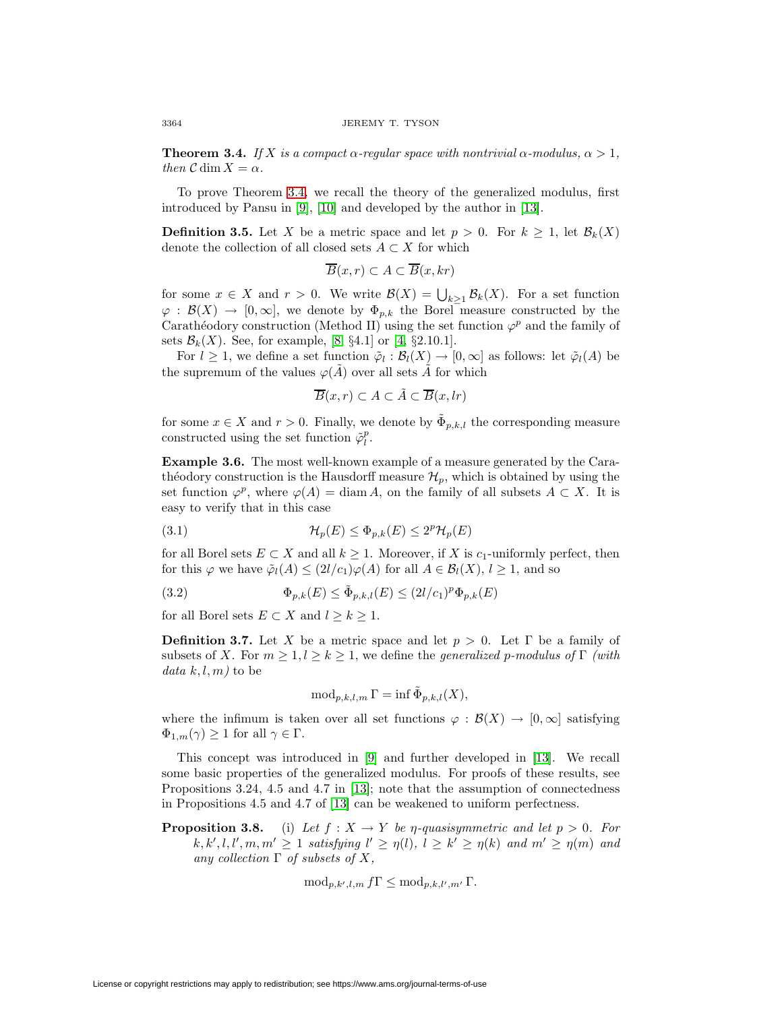**Theorem 3.4.** If X is a compact  $\alpha$ -regular space with nontrivial  $\alpha$ -modulus,  $\alpha > 1$ , then  $C \dim X = \alpha$ .

To prove Theorem [3.4,](#page-2-0) we recall the theory of the generalized modulus, first introduced by Pansu in [\[9\]](#page-6-3), [\[10\]](#page-6-12) and developed by the author in [\[13\]](#page-6-4).

**Definition 3.5.** Let X be a metric space and let  $p > 0$ . For  $k \geq 1$ , let  $\mathcal{B}_k(X)$ denote the collection of all closed sets  $A \subset X$  for which

$$
\overline{B}(x,r) \subset A \subset \overline{B}(x,kr)
$$

for some  $x \in X$  and  $r > 0$ . We write  $\mathcal{B}(X) = \bigcup_{k \geq 1} \mathcal{B}_k(X)$ . For a set function  $\varphi : \mathcal{B}(X) \to [0,\infty],$  we denote by  $\Phi_{p,k}$  the Borel measure constructed by the Carathéodory construction (Method II) using the set function  $\varphi^p$  and the family of sets  $\mathcal{B}_k(X)$ . See, for example, [\[8,](#page-6-13) §4.1] or [\[4,](#page-6-7) §2.10.1].

For  $l \geq 1$ , we define a set function  $\tilde{\varphi}_l : \mathcal{B}_l(X) \to [0, \infty]$  as follows: let  $\tilde{\varphi}_l(A)$  be the supremum of the values  $\varphi(\tilde{A})$  over all sets  $\tilde{A}$  for which

$$
\overline{B}(x,r) \subset A \subset \tilde{A} \subset \overline{B}(x,lr)
$$

for some  $x \in X$  and  $r > 0$ . Finally, we denote by  $\tilde{\Phi}_{p,k,l}$  the corresponding measure constructed using the set function  $\tilde{\varphi}_l^p$ .

**Example 3.6.** The most well-known example of a measure generated by the Carathéodory construction is the Hausdorff measure  $\mathcal{H}_p$ , which is obtained by using the set function  $\varphi^p$ , where  $\varphi(A) = \text{diam } A$ , on the family of all subsets  $A \subset X$ . It is easy to verify that in this case

<span id="page-3-1"></span>(3.1) 
$$
\mathcal{H}_p(E) \leq \Phi_{p,k}(E) \leq 2^p \mathcal{H}_p(E)
$$

<span id="page-3-2"></span>for all Borel sets  $E \subset X$  and all  $k \geq 1$ . Moreover, if X is  $c_1$ -uniformly perfect, then for this  $\varphi$  we have  $\tilde{\varphi}_l(A) \leq (2l/c_1)\varphi(A)$  for all  $A \in \mathcal{B}_l(X), l \geq 1$ , and so

(3.2) 
$$
\Phi_{p,k}(E) \leq \tilde{\Phi}_{p,k,l}(E) \leq (2l/c_1)^p \Phi_{p,k}(E)
$$

for all Borel sets  $E \subset X$  and  $l \geq k \geq 1$ .

**Definition 3.7.** Let X be a metric space and let  $p > 0$ . Let  $\Gamma$  be a family of subsets of X. For  $m \geq 1, l \geq k \geq 1$ , we define the *generalized p-modulus of* Γ (with data  $k, l, m$  to be

$$
\operatorname{mod}_{p,k,l,m} \Gamma = \inf \tilde{\Phi}_{p,k,l}(X),
$$

where the infimum is taken over all set functions  $\varphi : \mathcal{B}(X) \to [0,\infty]$  satisfying  $\Phi_{1,m}(\gamma) \geq 1$  for all  $\gamma \in \Gamma$ .

This concept was introduced in [\[9\]](#page-6-3) and further developed in [\[13\]](#page-6-4). We recall some basic properties of the generalized modulus. For proofs of these results, see Propositions 3.24, 4.5 and 4.7 in [\[13\]](#page-6-4); note that the assumption of connectedness in Propositions 4.5 and 4.7 of [\[13\]](#page-6-4) can be weakened to uniform perfectness.

<span id="page-3-0"></span>**Proposition 3.8.** (i) Let  $f : X \to Y$  be  $\eta$ -quasisymmetric and let  $p > 0$ . For  $k, k', l, l', m, m' \geq 1$  satisfying  $l' \geq \eta(l), l \geq k' \geq \eta(k)$  and  $m' \geq \eta(m)$  and any collection  $\Gamma$  of subsets of X,

$$
\mathrm{mod}_{p,k',l,m} f\Gamma \leq \mathrm{mod}_{p,k,l',m'} \Gamma.
$$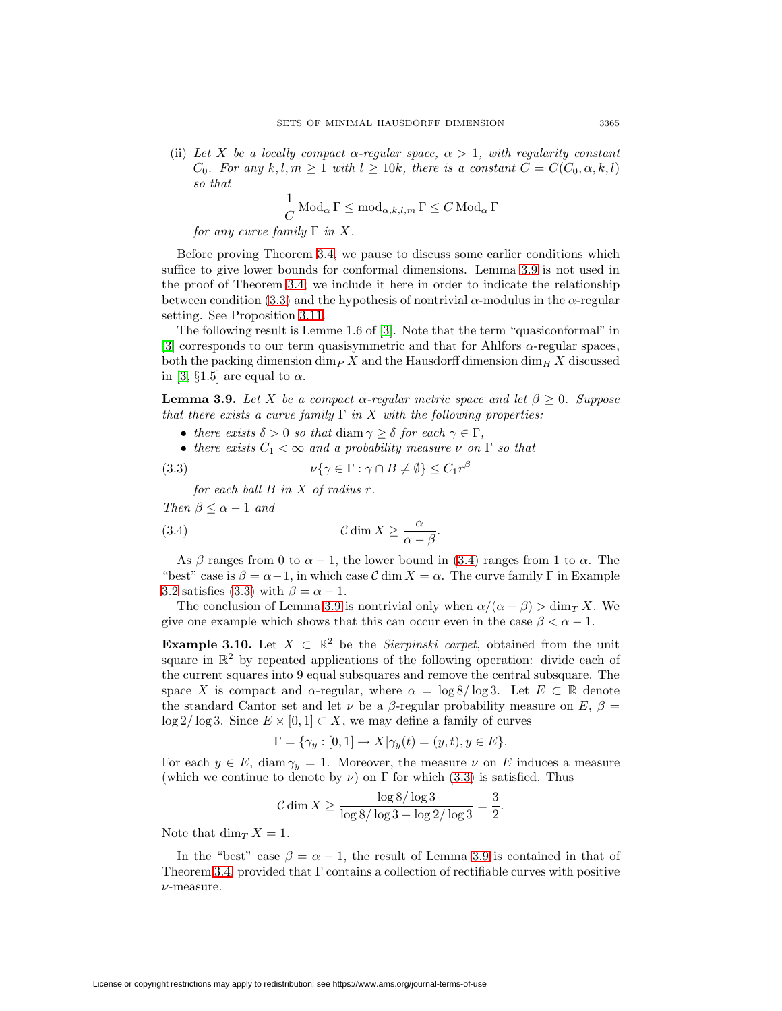(ii) Let X be a locally compact  $\alpha$ -regular space,  $\alpha > 1$ , with regularity constant  $C_0$ . For any k,l,  $m \geq 1$  with  $l \geq 10k$ , there is a constant  $C = C(C_0, \alpha, k, l)$ so that

$$
\frac{1}{C}\operatorname{Mod}_{\alpha}\Gamma\leq \operatorname{mod}_{\alpha,k,l,m}\Gamma\leq C\operatorname{Mod}_{\alpha}\Gamma
$$

for any curve family  $\Gamma$  in X.

Before proving Theorem [3.4,](#page-2-0) we pause to discuss some earlier conditions which suffice to give lower bounds for conformal dimensions. Lemma [3.9](#page-4-0) is not used in the proof of Theorem [3.4;](#page-2-0) we include it here in order to indicate the relationship between condition [\(3.3\)](#page-4-2) and the hypothesis of nontrivial  $\alpha$ -modulus in the  $\alpha$ -regular setting. See Proposition [3.11.](#page-4-1)

The following result is Lemme 1.6 of [\[3\]](#page-6-5). Note that the term "quasiconformal" in [\[3\]](#page-6-5) corresponds to our term quasisymmetric and that for Ahlfors  $\alpha$ -regular spaces, both the packing dimension dim<sub>P</sub> X and the Hausdorff dimension  $\dim_H X$  discussed in [\[3,](#page-6-5)  $\S1.5$ ] are equal to  $\alpha$ .

<span id="page-4-0"></span>**Lemma 3.9.** Let X be a compact  $\alpha$ -regular metric space and let  $\beta \geq 0$ . Suppose that there exists a curve family  $\Gamma$  in X with the following properties:

- there exists  $\delta > 0$  so that diam  $\gamma \geq \delta$  for each  $\gamma \in \Gamma$ ,
- there exists  $C_1 < \infty$  and a probability measure  $\nu$  on  $\Gamma$  so that

<span id="page-4-2"></span>(3.3) 
$$
\nu\{\gamma \in \Gamma : \gamma \cap B \neq \emptyset\} \leq C_1 r^{\beta}
$$

for each ball  $B$  in  $X$  of radius  $r$ .

<span id="page-4-3"></span>Then  $\beta \leq \alpha - 1$  and

(3.4) 
$$
\mathcal{C} \dim X \geq \frac{\alpha}{\alpha - \beta}.
$$

As  $\beta$  ranges from 0 to  $\alpha - 1$ , the lower bound in [\(3.4\)](#page-4-3) ranges from 1 to  $\alpha$ . The "best" case is  $\beta = \alpha - 1$ , in which case C dim  $X = \alpha$ . The curve family  $\Gamma$  in Example [3.2](#page-2-2) satisfies [\(3.3\)](#page-4-2) with  $\beta = \alpha - 1$ .

The conclusion of Lemma [3.9](#page-4-0) is nontrivial only when  $\alpha/(\alpha - \beta) > \dim_T X$ . We give one example which shows that this can occur even in the case  $\beta < \alpha - 1$ .

**Example 3.10.** Let  $X \subset \mathbb{R}^2$  be the *Sierpinski carpet*, obtained from the unit square in  $\mathbb{R}^2$  by repeated applications of the following operation: divide each of the current squares into 9 equal subsquares and remove the central subsquare. The space X is compact and  $\alpha$ -regular, where  $\alpha = \log 8 / \log 3$ . Let  $E \subset \mathbb{R}$  denote the standard Cantor set and let  $\nu$  be a  $\beta$ -regular probability measure on E,  $\beta$  =  $\log 2/\log 3$ . Since  $E \times [0,1] \subset X$ , we may define a family of curves

$$
\Gamma = \{ \gamma_y : [0, 1] \to X | \gamma_y(t) = (y, t), y \in E \}.
$$

For each  $y \in E$ , diam  $\gamma_y = 1$ . Moreover, the measure  $\nu$  on E induces a measure (which we continue to denote by  $\nu$ ) on  $\Gamma$  for which [\(3.3\)](#page-4-2) is satisfied. Thus

$$
\mathcal{C} \dim X \ge \frac{\log 8/\log 3}{\log 8/\log 3 - \log 2/\log 3} = \frac{3}{2}.
$$

Note that  $\dim_T X = 1$ .

<span id="page-4-1"></span>In the "best" case  $\beta = \alpha - 1$ , the result of Lemma [3.9](#page-4-0) is contained in that of Theorem [3.4,](#page-2-0) provided that Γ contains a collection of rectifiable curves with positive ν-measure.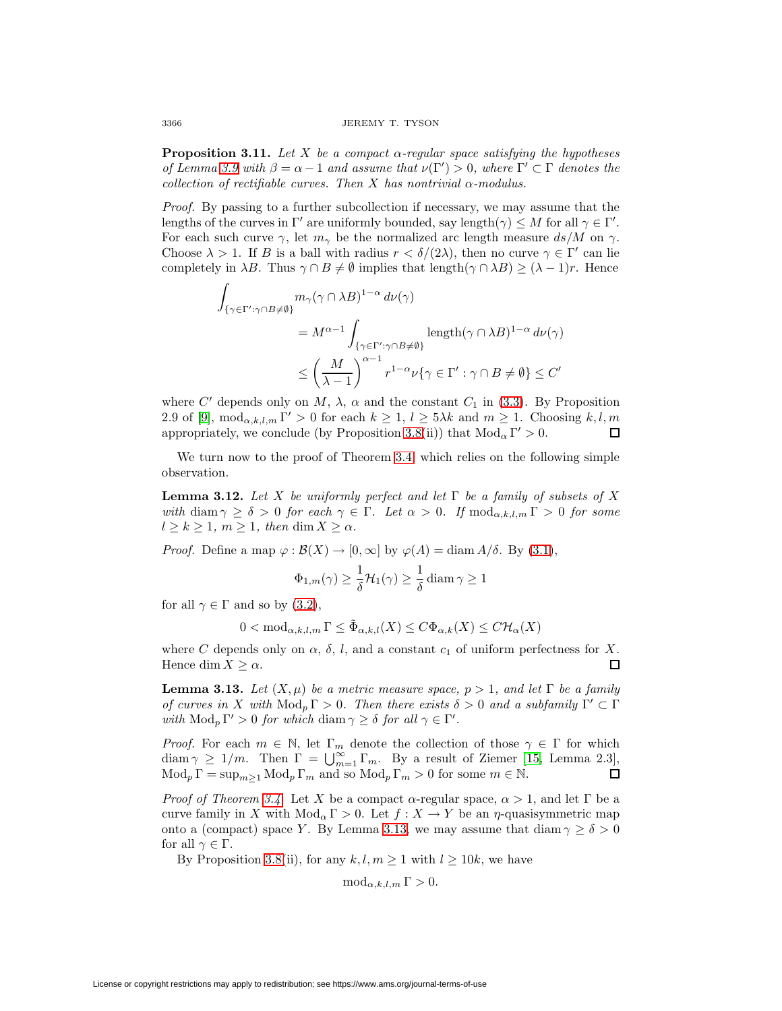**Proposition 3.11.** Let X be a compact  $\alpha$ -regular space satisfying the hypotheses of Lemma [3.9](#page-4-0) with  $\beta = \alpha - 1$  and assume that  $\nu(\Gamma') > 0$ , where  $\Gamma' \subset \Gamma$  denotes the collection of rectifiable curves. Then X has nontrivial  $\alpha$ -modulus.

Proof. By passing to a further subcollection if necessary, we may assume that the lengths of the curves in  $\Gamma'$  are uniformly bounded, say length $(\gamma) \leq M$  for all  $\gamma \in \Gamma'$ . For each such curve  $\gamma$ , let  $m_{\gamma}$  be the normalized arc length measure ds/M on  $\gamma$ . Choose  $\lambda > 1$ . If B is a ball with radius  $r < \delta/(2\lambda)$ , then no curve  $\gamma \in \Gamma'$  can lie completely in  $\lambda B$ . Thus  $\gamma \cap B \neq \emptyset$  implies that length( $\gamma \cap \lambda B$ )  $\geq (\lambda - 1)r$ . Hence

$$
\int_{\{\gamma \in \Gamma': \gamma \cap B \neq \emptyset\}} m_{\gamma}(\gamma \cap \lambda B)^{1-\alpha} d\nu(\gamma)
$$
\n
$$
= M^{\alpha-1} \int_{\{\gamma \in \Gamma': \gamma \cap B \neq \emptyset\}} \text{length}(\gamma \cap \lambda B)^{1-\alpha} d\nu(\gamma)
$$
\n
$$
\leq \left(\frac{M}{\lambda - 1}\right)^{\alpha - 1} r^{1-\alpha} \nu\{\gamma \in \Gamma': \gamma \cap B \neq \emptyset\} \leq C'
$$

where C' depends only on M,  $\lambda$ ,  $\alpha$  and the constant C<sub>1</sub> in [\(3.3\)](#page-4-2). By Proposition 2.9 of [\[9\]](#page-6-3),  $\text{mod}_{\alpha,k,l,m}$   $\Gamma' > 0$  for each  $k \geq 1$ ,  $l \geq 5\lambda k$  and  $m \geq 1$ . Choosing k,l,m appropriately, we conclude (by Proposition [3.8\(](#page-3-0)ii)) that  $Mod_{\alpha} \Gamma' > 0$ . □

<span id="page-5-1"></span>We turn now to the proof of Theorem [3.4,](#page-2-0) which relies on the following simple observation.

**Lemma 3.12.** Let X be uniformly perfect and let  $\Gamma$  be a family of subsets of X with diam  $\gamma \ge \delta > 0$  for each  $\gamma \in \Gamma$ . Let  $\alpha > 0$ . If  $\text{mod}_{\alpha,k,l,m} \Gamma > 0$  for some  $l \geq k \geq 1, m \geq 1, \text{ then } \dim X \geq \alpha.$ 

*Proof.* Define a map  $\varphi : \mathcal{B}(X) \to [0, \infty]$  by  $\varphi(A) = \text{diam } A/\delta$ . By [\(3.1\)](#page-3-1),

$$
\Phi_{1,m}(\gamma) \ge \frac{1}{\delta} \mathcal{H}_1(\gamma) \ge \frac{1}{\delta} \operatorname{diam} \gamma \ge 1
$$

for all  $\gamma \in \Gamma$  and so by [\(3.2\)](#page-3-2),

$$
0<{\rm mod}_{\alpha,k,l,m}\,\Gamma\leq \tilde{\Phi}_{\alpha,k,l}(X)\leq C\Phi_{\alpha,k}(X)\leq C\mathcal{H}_\alpha(X)
$$

where C depends only on  $\alpha$ ,  $\delta$ , l, and a constant  $c_1$  of uniform perfectness for X. Hence dim  $X \geq \alpha$ . п

<span id="page-5-0"></span>**Lemma 3.13.** Let  $(X, \mu)$  be a metric measure space,  $p > 1$ , and let  $\Gamma$  be a family of curves in X with  $\text{Mod}_p \Gamma > 0$ . Then there exists  $\delta > 0$  and a subfamily  $\Gamma' \subset \Gamma$ with  $\text{Mod}_p \Gamma' > 0$  for which diam  $\gamma \geq \delta$  for all  $\gamma \in \Gamma'$ .

*Proof.* For each  $m \in \mathbb{N}$ , let  $\Gamma_m$  denote the collection of those  $\gamma \in \Gamma$  for which  $\dim \gamma \geq 1/m$ . Then  $\Gamma = \bigcup_{m=1}^{\infty} \Gamma_m$ . By a result of Ziemer [\[15,](#page-6-14) Lemma 2.3],  $\operatorname{Mod}_p \Gamma = \sup_{m>1} \operatorname{Mod}_p \Gamma_m$  and so  $\operatorname{Mod}_p \Gamma_m > 0$  for some  $m \in \mathbb{N}$ . □

*Proof of Theorem [3.4.](#page-2-0)* Let X be a compact  $\alpha$ -regular space,  $\alpha > 1$ , and let  $\Gamma$  be a curve family in X with  $Mod_{\alpha} \Gamma > 0$ . Let  $f : X \to Y$  be an  $\eta$ -quasisymmetric map onto a (compact) space Y. By Lemma [3.13,](#page-5-0) we may assume that diam  $\gamma \ge \delta > 0$ for all  $\gamma \in \Gamma$ .

By Proposition [3.8\(](#page-3-0)ii), for any  $k, l, m \ge 1$  with  $l \ge 10k$ , we have

$$
\operatorname{mod}_{\alpha,k,l,m}\Gamma>0.
$$